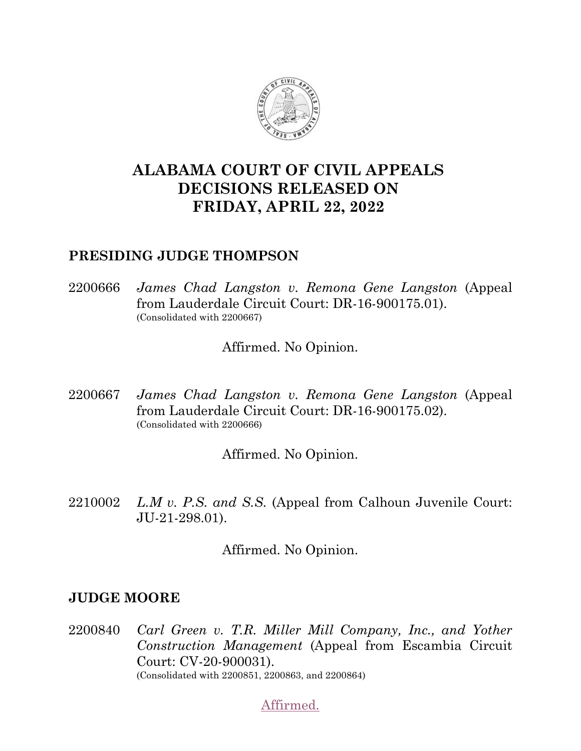

# **ALABAMA COURT OF CIVIL APPEALS DECISIONS RELEASED ON FRIDAY, APRIL 22, 2022**

# **PRESIDING JUDGE THOMPSON**

2200666 *James Chad Langston v. Remona Gene Langston* (Appeal from Lauderdale Circuit Court: DR-16-900175.01). (Consolidated with 2200667)

Affirmed. No Opinion.

2200667 *James Chad Langston v. Remona Gene Langston* (Appeal from Lauderdale Circuit Court: DR-16-900175.02). (Consolidated with 2200666)

Affirmed. No Opinion.

2210002 *L.M v. P.S. and S.S.* (Appeal from Calhoun Juvenile Court: JU-21-298.01).

Affirmed. No Opinion.

## **JUDGE MOORE**

2200840 *Carl Green v. T.R. Miller Mill Company, Inc., and Yother Construction Management* (Appeal from Escambia Circuit Court: CV-20-900031). (Consolidated with 2200851, 2200863, and 2200864)

[Affirmed.](https://acis.alabama.gov/displaydocs.cfm?no=1126883&event=6BE0KBV8K)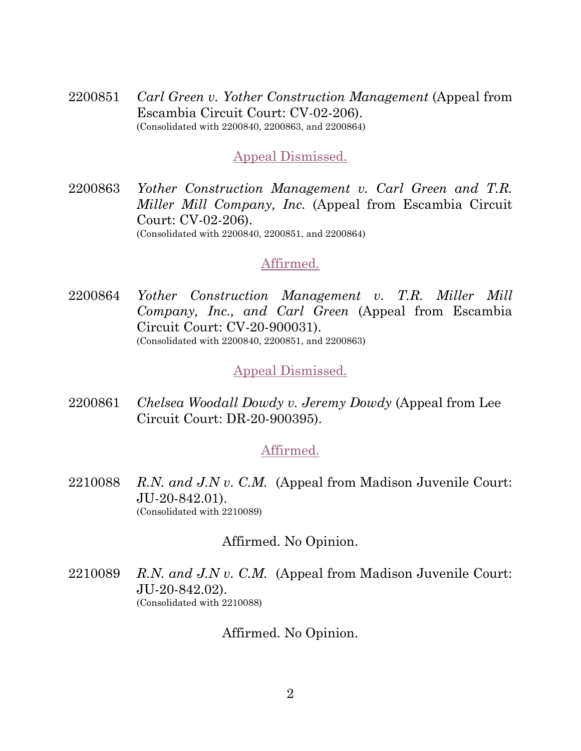2200851 *Carl Green v. Yother Construction Management* (Appeal from Escambia Circuit Court: CV-02-206). (Consolidated with 2200840, 2200863, and 2200864)

#### [Appeal Dismissed.](https://acis.alabama.gov/displaydocs.cfm?no=1126883&event=6BE0KBV8K)

2200863 *Yother Construction Management v. Carl Green and T.R. Miller Mill Company, Inc.* (Appeal from Escambia Circuit Court: CV-02-206). (Consolidated with 2200840, 2200851, and 2200864)

#### [Affirmed.](https://acis.alabama.gov/displaydocs.cfm?no=1126883&event=6BE0KBV8K)

2200864 *Yother Construction Management v. T.R. Miller Mill Company, Inc., and Carl Green* (Appeal from Escambia Circuit Court: CV-20-900031). (Consolidated with 2200840, 2200851, and 2200863)

## [Appeal Dismissed.](https://acis.alabama.gov/displaydocs.cfm?no=1126883&event=6BE0KBV8K)

2200861 *Chelsea Woodall Dowdy v. Jeremy Dowdy* (Appeal from Lee Circuit Court: DR-20-900395).

## [Affirmed.](https://acis.alabama.gov/displaydocs.cfm?no=1126884&event=6BE0L2VX5)

2210088 *R.N. and J.N v. C.M.* (Appeal from Madison Juvenile Court: JU-20-842.01). (Consolidated with 2210089)

#### Affirmed. No Opinion.

2210089 *R.N. and J.N v. C.M.* (Appeal from Madison Juvenile Court: JU-20-842.02). (Consolidated with 2210088)

Affirmed. No Opinion.